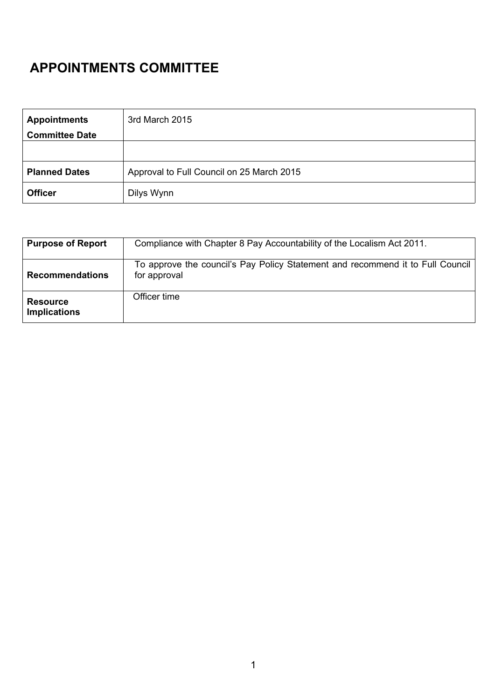# **APPOINTMENTS COMMITTEE**

| <b>Appointments</b>   | 3rd March 2015                            |
|-----------------------|-------------------------------------------|
| <b>Committee Date</b> |                                           |
|                       |                                           |
|                       |                                           |
| <b>Planned Dates</b>  | Approval to Full Council on 25 March 2015 |
| <b>Officer</b>        | Dilys Wynn                                |

| <b>Purpose of Report</b>               | Compliance with Chapter 8 Pay Accountability of the Localism Act 2011.                         |
|----------------------------------------|------------------------------------------------------------------------------------------------|
| <b>Recommendations</b>                 | To approve the council's Pay Policy Statement and recommend it to Full Council<br>for approval |
| <b>Resource</b><br><b>Implications</b> | Officer time                                                                                   |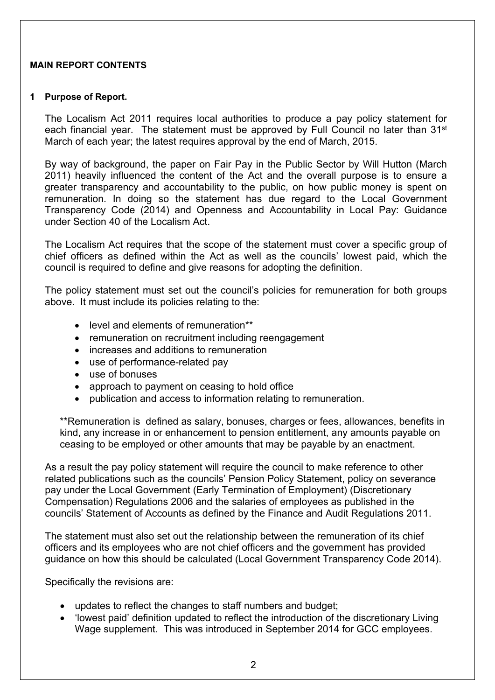#### **MAIN REPORT CONTENTS**

#### **1 Purpose of Report.**

The Localism Act 2011 requires local authorities to produce a pay policy statement for each financial year. The statement must be approved by Full Council no later than 31<sup>st</sup> March of each year; the latest requires approval by the end of March, 2015.

By way of background, the paper on Fair Pay in the Public Sector by Will Hutton (March 2011) heavily influenced the content of the Act and the overall purpose is to ensure a greater transparency and accountability to the public, on how public money is spent on remuneration. In doing so the statement has due regard to the Local Government Transparency Code (2014) and Openness and Accountability in Local Pay: Guidance under Section 40 of the Localism Act.

The Localism Act requires that the scope of the statement must cover a specific group of chief officers as defined within the Act as well as the councils' lowest paid, which the council is required to define and give reasons for adopting the definition.

The policy statement must set out the council's policies for remuneration for both groups above. It must include its policies relating to the:

- level and elements of remuneration\*\*
- remuneration on recruitment including reengagement
- increases and additions to remuneration
- use of performance-related pay
- use of bonuses
- approach to payment on ceasing to hold office
- publication and access to information relating to remuneration.

\*\*Remuneration is defined as salary, bonuses, charges or fees, allowances, benefits in kind, any increase in or enhancement to pension entitlement, any amounts payable on ceasing to be employed or other amounts that may be payable by an enactment.

As a result the pay policy statement will require the council to make reference to other related publications such as the councils' Pension Policy Statement, policy on severance pay under the Local Government (Early Termination of Employment) (Discretionary Compensation) Regulations 2006 and the salaries of employees as published in the councils' Statement of Accounts as defined by the Finance and Audit Regulations 2011.

The statement must also set out the relationship between the remuneration of its chief officers and its employees who are not chief officers and the government has provided guidance on how this should be calculated (Local Government Transparency Code 2014).

Specifically the revisions are:

- updates to reflect the changes to staff numbers and budget;
- 'lowest paid' definition updated to reflect the introduction of the discretionary Living Wage supplement. This was introduced in September 2014 for GCC employees.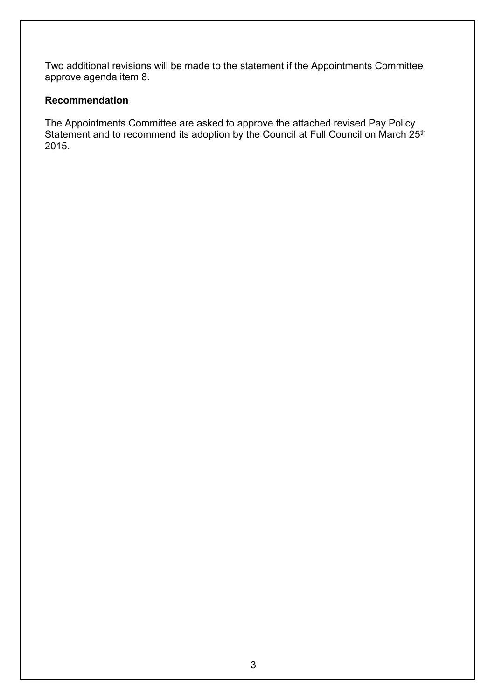Two additional revisions will be made to the statement if the Appointments Committee approve agenda item 8.

# **Recommendation**

The Appointments Committee are asked to approve the attached revised Pay Policy Statement and to recommend its adoption by the Council at Full Council on March 25<sup>th</sup> 2015.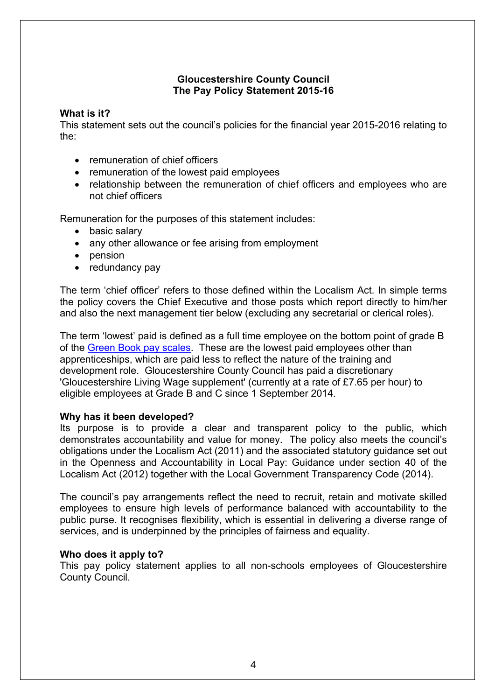# **Gloucestershire County Council The Pay Policy Statement 2015-16**

## **What is it?**

This statement sets out the council's policies for the financial year 2015-2016 relating to the:

- remuneration of chief officers
- remuneration of the lowest paid employees
- relationship between the remuneration of chief officers and employees who are not chief officers

Remuneration for the purposes of this statement includes:

- basic salary
- any other allowance or fee arising from employment
- pension
- $\bullet$  redundancy pay

The term 'chief officer' refers to those defined within the Localism Act. In simple terms the policy covers the Chief Executive and those posts which report directly to him/her and also the next management tier below (excluding any secretarial or clerical roles).

The term 'lowest' paid is defined as a full time employee on the bottom point of grade B of the Green Book pay [scales](http://www.gloucestershire.gov.uk/CHttpHandler.ashx?id=51219&p=0). These are the lowest paid employees other than apprenticeships, which are paid less to reflect the nature of the training and development role. Gloucestershire County Council has paid a discretionary 'Gloucestershire Living Wage supplement' (currently at a rate of £7.65 per hour) to eligible employees at Grade B and C since 1 September 2014.

## **Why has it been developed?**

Its purpose is to provide a clear and transparent policy to the public, which demonstrates accountability and value for money. The policy also meets the council's obligations under the Localism Act (2011) and the associated statutory guidance set out in the Openness and Accountability in Local Pay: Guidance under section 40 of the Localism Act (2012) together with the Local Government Transparency Code (2014).

The council's pay arrangements reflect the need to recruit, retain and motivate skilled employees to ensure high levels of performance balanced with accountability to the public purse. It recognises flexibility, which is essential in delivering a diverse range of services, and is underpinned by the principles of fairness and equality.

#### **Who does it apply to?**

This pay policy statement applies to all non-schools employees of Gloucestershire County Council.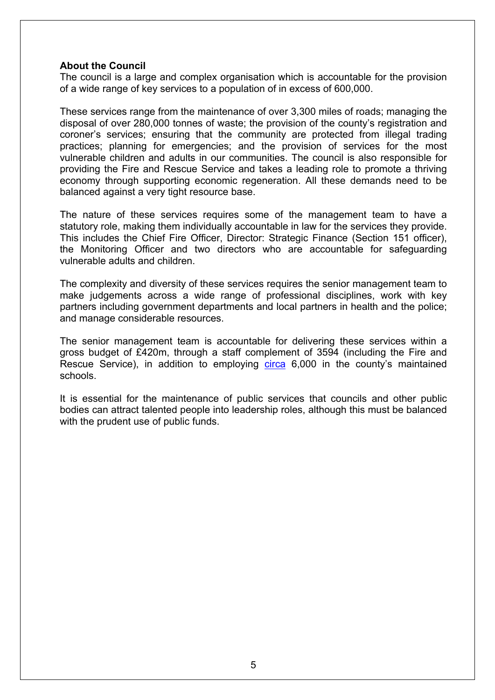#### **About the Council**

The council is a large and complex organisation which is accountable for the provision of a wide range of key services to a population of in excess of 600,000.

These services range from the maintenance of over 3,300 miles of roads; managing the disposal of over 280,000 tonnes of waste; the provision of the county's registration and coroner's services; ensuring that the community are protected from illegal trading practices; planning for emergencies; and the provision of services for the most vulnerable children and adults in our communities. The council is also responsible for providing the Fire and Rescue Service and takes a leading role to promote a thriving economy through supporting economic regeneration. All these demands need to be balanced against a very tight resource base.

The nature of these services requires some of the management team to have a statutory role, making them individually accountable in law for the services they provide. This includes the Chief Fire Officer, Director: Strategic Finance (Section 151 officer), the Monitoring Officer and two directors who are accountable for safeguarding vulnerable adults and children.

The complexity and diversity of these services requires the senior management team to make judgements across a wide range of professional disciplines, work with key partners including government departments and local partners in health and the police; and manage considerable resources.

The senior management team is accountable for delivering these services within a gross budget of £420m, through a staff complement of 3594 (including the Fire and Rescue Service), in addition to employing [circa](mailto:@6,000) 6,000 in the county's maintained schools.

It is essential for the maintenance of public services that councils and other public bodies can attract talented people into leadership roles, although this must be balanced with the prudent use of public funds.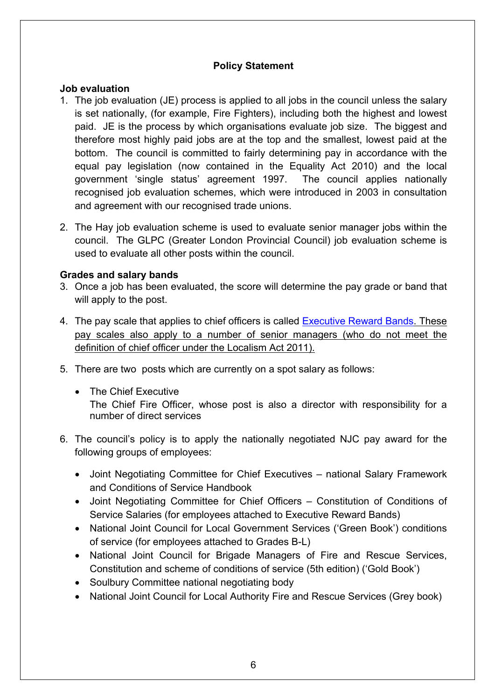# **Policy Statement**

## **Job evaluation**

- 1. The job evaluation (JE) process is applied to all jobs in the council unless the salary is set nationally, (for example, Fire Fighters), including both the highest and lowest paid. JE is the process by which organisations evaluate job size. The biggest and therefore most highly paid jobs are at the top and the smallest, lowest paid at the bottom. The council is committed to fairly determining pay in accordance with the equal pay legislation (now contained in the Equality Act 2010) and the local government 'single status' agreement 1997. The council applies nationally recognised job evaluation schemes, which were introduced in 2003 in consultation and agreement with our recognised trade unions.
- 2. The Hay job evaluation scheme is used to evaluate senior manager jobs within the council. The GLPC (Greater London Provincial Council) job evaluation scheme is used to evaluate all other posts within the council.

# **Grades and salary bands**

- 3. Once a job has been evaluated, the score will determine the pay grade or band that will apply to the post.
- 4. The pay scale that applies to chief officers is called [Executive](http://www.gloucestershire.gov.uk/article/108526/Pay-Policy-Statement) Reward Bands. These pay scales also apply to a number of senior managers (who do not meet the definition of chief officer under the Localism Act 2011).
- 5. There are two posts which are currently on a spot salary as follows:
	- The Chief Executive The Chief Fire Officer, whose post is also a director with responsibility for a number of direct services
- 6. The council's policy is to apply the nationally negotiated NJC pay award for the following groups of employees:
	- Joint Negotiating Committee for Chief Executives national Salary Framework and Conditions of Service Handbook
	- Joint Negotiating Committee for Chief Officers Constitution of Conditions of Service Salaries (for employees attached to Executive Reward Bands)
	- National Joint Council for Local Government Services ('Green Book') conditions of service (for employees attached to Grades B-L)
	- National Joint Council for Brigade Managers of Fire and Rescue Services, Constitution and scheme of conditions of service (5th edition) ('Gold Book')
	- Soulbury Committee national negotiating body
	- National Joint Council for Local Authority Fire and Rescue Services (Grey book)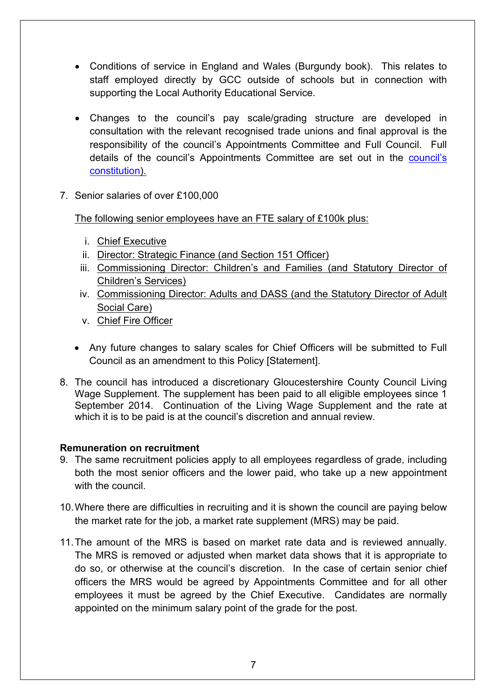- Conditions of service in England and Wales (Burgundy book). This relates to staff employed directly by GCC outside of schools but in connection with supporting the Local Authority Educational Service.
- Changes to the council's pay scale/grading structure are developed in consultation with the relevant recognised trade unions and final approval is the responsibility of the council's Appointments Committee and Full Council. Full details of the [council's](http://glostext.gloucestershire.gov.uk/ecSDDisplay.aspx?NAME=SD163&ID=163&RPID=19096542&sch=doc&cat=13295&path=13295) Appointments Committee are set out in the council's [constitution\)](http://glostext.gloucestershire.gov.uk/ecSDDisplay.aspx?NAME=SD163&ID=163&RPID=19096542&sch=doc&cat=13295&path=13295).
- 7. Senior salaries of over £100,000

The following senior employees have an FTE salary of £100k plus:

- i. Chief Executive
- ii. Director: Strategic Finance (and Section 151 Officer)
- iii. Commissioning Director: Children's and Families (and Statutory Director of Children's Services)
- iv. Commissioning Director: Adults and DASS (and the Statutory Director of Adult Social Care)
- v. Chief Fire Officer
- Any future changes to salary scales for Chief Officers will be submitted to Full Council as an amendment to this Policy [Statement].
- 8. The council has introduced a discretionary Gloucestershire County Council Living Wage Supplement. The supplement has been paid to all eligible employees since 1 September 2014. Continuation of the Living Wage Supplement and the rate at which it is to be paid is at the council's discretion and annual review.

# **Remuneration on recruitment**

- 9. The same recruitment policies apply to all employees regardless of grade, including both the most senior officers and the lower paid, who take up a new appointment with the council.
- 10.Where there are difficulties in recruiting and it is shown the council are paying below the market rate for the job, a market rate supplement (MRS) may be paid.
- 11.The amount of the MRS is based on market rate data and is reviewed annually. The MRS is removed or adjusted when market data shows that it is appropriate to do so, or otherwise at the council's discretion. In the case of certain senior chief officers the MRS would be agreed by Appointments Committee and for all other employees it must be agreed by the Chief Executive. Candidates are normally appointed on the minimum salary point of the grade for the post.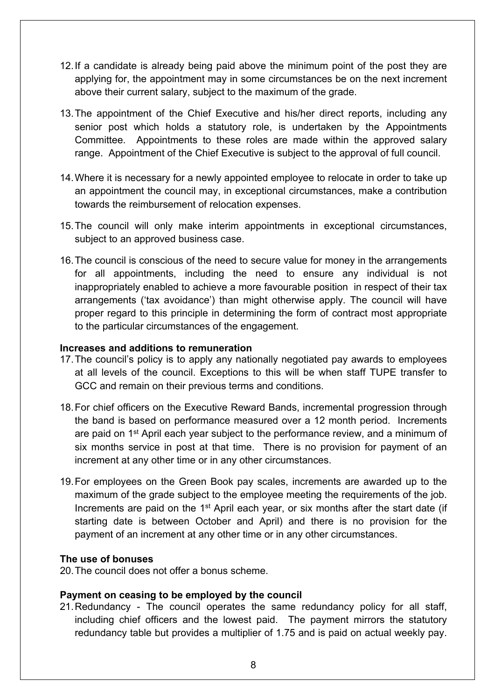- 12.If a candidate is already being paid above the minimum point of the post they are applying for, the appointment may in some circumstances be on the next increment above their current salary, subject to the maximum of the grade.
- 13.The appointment of the Chief Executive and his/her direct reports, including any senior post which holds a statutory role, is undertaken by the Appointments Committee. Appointments to these roles are made within the approved salary range. Appointment of the Chief Executive is subject to the approval of full council.
- 14.Where it is necessary for a newly appointed employee to relocate in order to take up an appointment the council may, in exceptional circumstances, make a contribution towards the reimbursement of relocation expenses.
- 15.The council will only make interim appointments in exceptional circumstances, subject to an approved business case.
- 16.The council is conscious of the need to secure value for money in the arrangements for all appointments, including the need to ensure any individual is not inappropriately enabled to achieve a more favourable position in respect of their tax arrangements ('tax avoidance') than might otherwise apply. The council will have proper regard to this principle in determining the form of contract most appropriate to the particular circumstances of the engagement.

## **Increases and additions to remuneration**

- 17.The council's policy is to apply any nationally negotiated pay awards to employees at all levels of the council. Exceptions to this will be when staff TUPE transfer to GCC and remain on their previous terms and conditions.
- 18.For chief officers on the Executive Reward Bands, incremental progression through the band is based on performance measured over a 12 month period. Increments are paid on 1<sup>st</sup> April each year subject to the performance review, and a minimum of six months service in post at that time. There is no provision for payment of an increment at any other time or in any other circumstances.
- 19.For employees on the Green Book pay scales, increments are awarded up to the maximum of the grade subject to the employee meeting the requirements of the job. Increments are paid on the 1<sup>st</sup> April each year, or six months after the start date (if starting date is between October and April) and there is no provision for the payment of an increment at any other time or in any other circumstances.

#### **The use of bonuses**

20.The council does not offer a bonus scheme.

#### **Payment on ceasing to be employed by the council**

21.Redundancy - The council operates the same redundancy policy for all staff, including chief officers and the lowest paid. The payment mirrors the statutory redundancy table but provides a multiplier of 1.75 and is paid on actual weekly pay.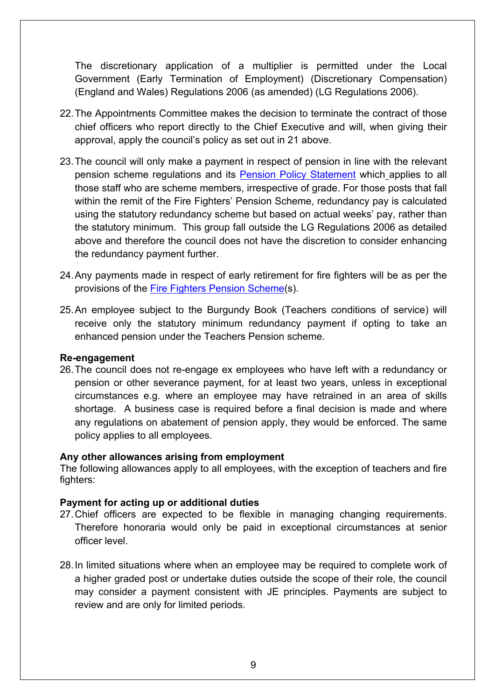The discretionary application of a multiplier is permitted under the Local Government (Early Termination of Employment) (Discretionary Compensation) (England and Wales) Regulations 2006 (as amended) (LG Regulations 2006).

- 22.The Appointments Committee makes the decision to terminate the contract of those chief officers who report directly to the Chief Executive and will, when giving their approval, apply the council's policy as set out in 21 above.
- 23.The council will only make a payment in respect of pension in line with the relevant pension scheme regulations and its Pension Policy [Statement](http://www.gloucestershire.gov.uk/article/108526/Pay-Policy-Statement) which applies to all those staff who are scheme members, irrespective of grade. For those posts that fall within the remit of the Fire Fighters' Pension Scheme, redundancy pay is calculated using the statutory redundancy scheme but based on actual weeks' pay, rather than the statutory minimum. This group fall outside the LG Regulations 2006 as detailed above and therefore the council does not have the discretion to consider enhancing the redundancy payment further.
- 24.Any payments made in respect of early retirement for fire fighters will be as per the provisions of the Fire Fighters Pension [Scheme](http://www.communities.gov.uk/fire/firerescueservice/firefighterpensions/)(s).
- 25.An employee subject to the Burgundy Book (Teachers conditions of service) will receive only the statutory minimum redundancy payment if opting to take an enhanced pension under the Teachers Pension scheme.

## **Re-engagement**

26.The council does not re-engage ex employees who have left with a redundancy or pension or other severance payment, for at least two years, unless in exceptional circumstances e.g. where an employee may have retrained in an area of skills shortage. A business case is required before a final decision is made and where any regulations on abatement of pension apply, they would be enforced. The same policy applies to all employees.

#### **Any other allowances arising from employment**

The following allowances apply to all employees, with the exception of teachers and fire fighters:

## **Payment for acting up or additional duties**

- 27.Chief officers are expected to be flexible in managing changing requirements. Therefore honoraria would only be paid in exceptional circumstances at senior officer level.
- 28.In limited situations where when an employee may be required to complete work of a higher graded post or undertake duties outside the scope of their role, the council may consider a payment consistent with JE principles. Payments are subject to review and are only for limited periods.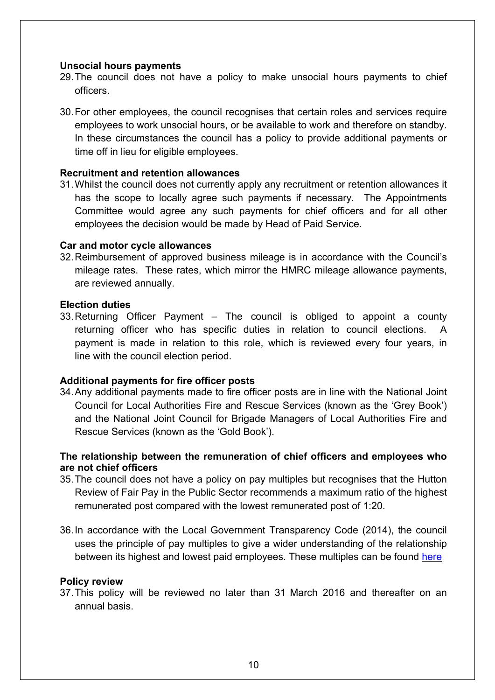#### **Unsocial hours payments**

- 29.The council does not have a policy to make unsocial hours payments to chief officers.
- 30.For other employees, the council recognises that certain roles and services require employees to work unsocial hours, or be available to work and therefore on standby. In these circumstances the council has a policy to provide additional payments or time off in lieu for eligible employees.

#### **Recruitment and retention allowances**

31.Whilst the council does not currently apply any recruitment or retention allowances it has the scope to locally agree such payments if necessary. The Appointments Committee would agree any such payments for chief officers and for all other employees the decision would be made by Head of Paid Service.

#### **Car and motor cycle allowances**

32.Reimbursement of approved business mileage is in accordance with the Council's mileage rates. These rates, which mirror the HMRC mileage allowance payments, are reviewed annually.

#### **Election duties**

33.Returning Officer Payment – The council is obliged to appoint a county returning officer who has specific duties in relation to council elections. payment is made in relation to this role, which is reviewed every four years, in line with the council election period.

## **Additional payments for fire officer posts**

34.Any additional payments made to fire officer posts are in line with the National Joint Council for Local Authorities Fire and Rescue Services (known as the 'Grey Book') and the National Joint Council for Brigade Managers of Local Authorities Fire and Rescue Services (known as the 'Gold Book').

# **The relationship between the remuneration of chief officers and employees who are not chief officers**

- 35.The council does not have a policy on pay multiples but recognises that the Hutton Review of Fair Pay in the Public Sector recommends a maximum ratio of the highest remunerated post compared with the lowest remunerated post of 1:20.
- 36.In accordance with the Local Government Transparency Code (2014), the council uses the principle of pay multiples to give a wider understanding of the relationship between its highest and lowest paid employees. These multiples can be found [here](http://www.gloucestershire.gov.uk/article/108525/Gloucestershire-County-Councils-Pay-Multiples-20122013)

#### **Policy review**

37.This policy will be reviewed no later than 31 March 2016 and thereafter on an annual basis.